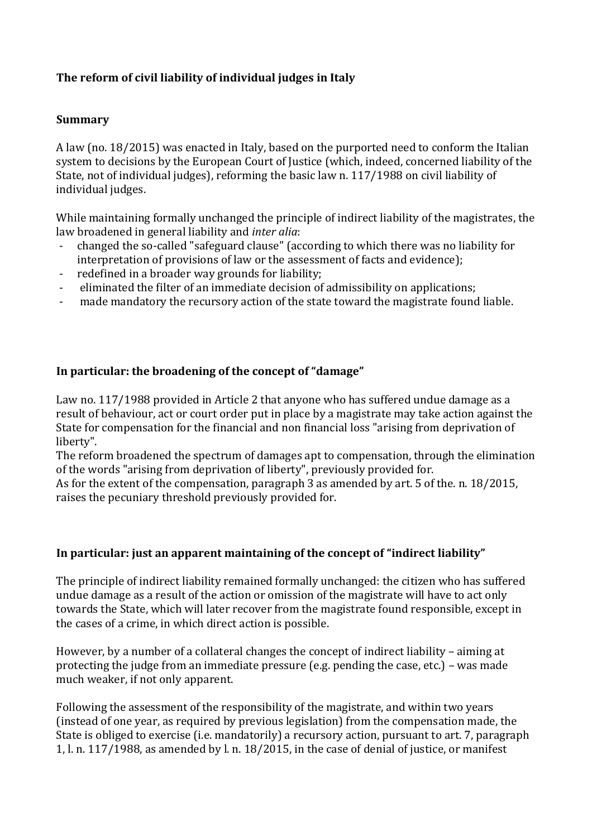# **The reform of civil liability of individual judges in Italy**

#### **Summary**

A law (no. 18/2015) was enacted in Italy, based on the purported need to conform the Italian system to decisions by the European Court of Justice (which, indeed, concerned liability of the State, not of individual judges), reforming the basic law n. 117/1988 on civil liability of individual judges.

While maintaining formally unchanged the principle of indirect liability of the magistrates, the law broadened in general liability and *inter alia*:

- changed the so-called "safeguard clause" (according to which there was no liability for interpretation of provisions of law or the assessment of facts and evidence);
- redefined in a broader way grounds for liability;
- eliminated the filter of an immediate decision of admissibility on applications;
- made mandatory the recursory action of the state toward the magistrate found liable.

## In particular: the broadening of the concept of "damage"

Law no. 117/1988 provided in Article 2 that anyone who has suffered undue damage as a result of behaviour, act or court order put in place by a magistrate may take action against the State for compensation for the financial and non financial loss "arising from deprivation of liberty".

The reform broadened the spectrum of damages apt to compensation, through the elimination of the words "arising from deprivation of liberty", previously provided for.

As for the extent of the compensation, paragraph 3 as amended by art. 5 of the. n. 18/2015, raises the pecuniary threshold previously provided for.

#### In particular: just an apparent maintaining of the concept of "indirect liability"

The principle of indirect liability remained formally unchanged: the citizen who has suffered undue damage as a result of the action or omission of the magistrate will have to act only towards the State, which will later recover from the magistrate found responsible, except in the cases of a crime, in which direct action is possible.

However, by a number of a collateral changes the concept of indirect liability – aiming at protecting the judge from an immediate pressure (e.g. pending the case, etc.)  $-$  was made much weaker, if not only apparent.

Following the assessment of the responsibility of the magistrate, and within two years (instead of one year, as required by previous legislation) from the compensation made, the State is obliged to exercise (i.e. mandatorily) a recursory action, pursuant to art. 7, paragraph 1, l. n. 117/1988, as amended by l. n. 18/2015, in the case of denial of justice, or manifest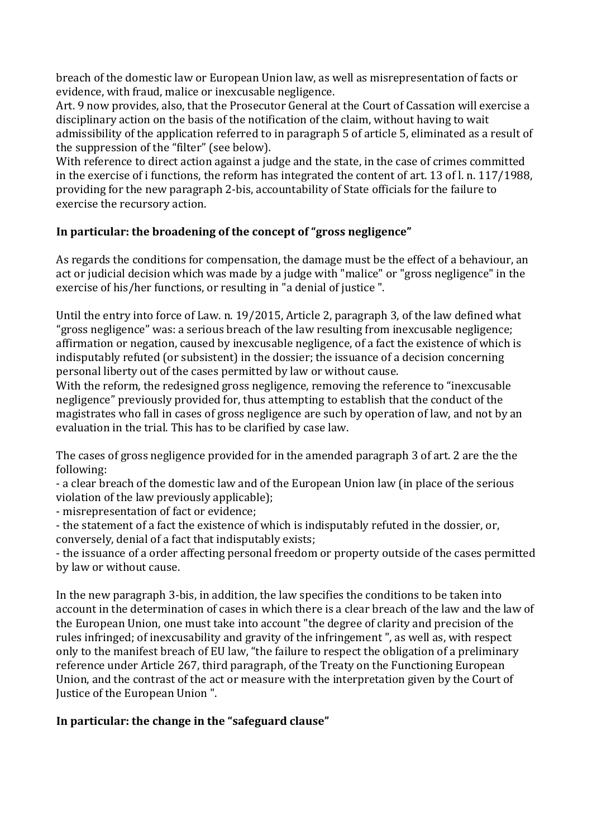breach of the domestic law or European Union law, as well as misrepresentation of facts or evidence, with fraud, malice or inexcusable negligence.

Art. 9 now provides, also, that the Prosecutor General at the Court of Cassation will exercise a disciplinary action on the basis of the notification of the claim, without having to wait admissibility of the application referred to in paragraph 5 of article 5, eliminated as a result of the suppression of the "filter" (see below).

With reference to direct action against a judge and the state, in the case of crimes committed in the exercise of i functions, the reform has integrated the content of art. 13 of l. n. 117/1988, providing for the new paragraph 2-bis, accountability of State officials for the failure to exercise the recursory action.

## In particular: the broadening of the concept of "gross negligence"

As regards the conditions for compensation, the damage must be the effect of a behaviour, an act or judicial decision which was made by a judge with "malice" or "gross negligence" in the exercise of his/her functions, or resulting in "a denial of justice ".

Until the entry into force of Law. n. 19/2015, Article 2, paragraph 3, of the law defined what "gross negligence" was: a serious breach of the law resulting from inexcusable negligence; affirmation or negation, caused by inexcusable negligence, of a fact the existence of which is indisputably refuted (or subsistent) in the dossier; the issuance of a decision concerning personal liberty out of the cases permitted by law or without cause.

With the reform, the redesigned gross negligence, removing the reference to "inexcusable negligence" previously provided for, thus attempting to establish that the conduct of the magistrates who fall in cases of gross negligence are such by operation of law, and not by an evaluation in the trial. This has to be clarified by case law.

The cases of gross negligence provided for in the amended paragraph 3 of art. 2 are the the following:

- a clear breach of the domestic law and of the European Union law (in place of the serious violation of the law previously applicable);

- misrepresentation of fact or evidence;

- the statement of a fact the existence of which is indisputably refuted in the dossier, or, conversely, denial of a fact that indisputably exists;

- the issuance of a order affecting personal freedom or property outside of the cases permitted by law or without cause.

In the new paragraph 3-bis, in addition, the law specifies the conditions to be taken into account in the determination of cases in which there is a clear breach of the law and the law of the European Union, one must take into account "the degree of clarity and precision of the rules infringed; of inexcusability and gravity of the infringement ", as well as, with respect only to the manifest breach of EU law, "the failure to respect the obligation of a preliminary reference under Article 267, third paragraph, of the Treaty on the Functioning European Union, and the contrast of the act or measure with the interpretation given by the Court of Justice of the European Union ".

## In particular: the change in the "safeguard clause"